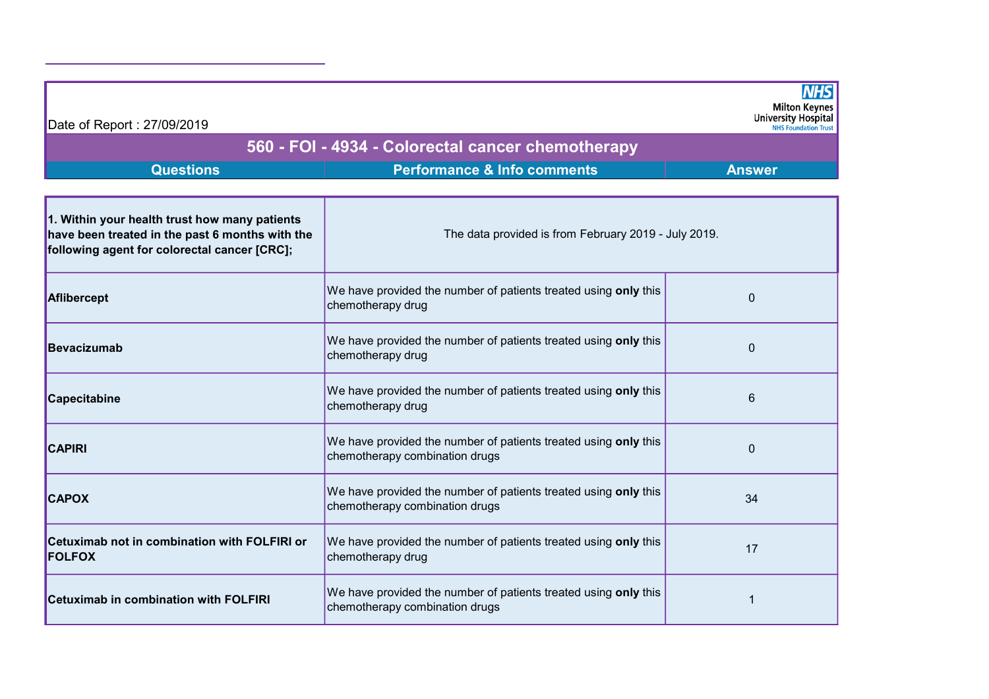| Date of Report: 27/09/2019                                                                                                                       |                                                                                                   | <b>Milton Keynes</b><br><b>University Hospital</b> |  |  |  |
|--------------------------------------------------------------------------------------------------------------------------------------------------|---------------------------------------------------------------------------------------------------|----------------------------------------------------|--|--|--|
|                                                                                                                                                  | <b>NHS Foundation Trust</b><br>560 - FOI - 4934 - Colorectal cancer chemotherapy                  |                                                    |  |  |  |
| <b>Questions</b>                                                                                                                                 | <b>Performance &amp; Info comments</b>                                                            | <b>Answer</b>                                      |  |  |  |
| 1. Within your health trust how many patients<br>have been treated in the past 6 months with the<br>following agent for colorectal cancer [CRC]; | The data provided is from February 2019 - July 2019.                                              |                                                    |  |  |  |
| Aflibercept                                                                                                                                      | We have provided the number of patients treated using only this<br>chemotherapy drug              | $\Omega$                                           |  |  |  |
| <b>Bevacizumab</b>                                                                                                                               | We have provided the number of patients treated using only this<br>chemotherapy drug              | $\mathbf 0$                                        |  |  |  |
| Capecitabine                                                                                                                                     | We have provided the number of patients treated using only this<br>chemotherapy drug              | 6                                                  |  |  |  |
| <b>CAPIRI</b>                                                                                                                                    | We have provided the number of patients treated using only this<br>chemotherapy combination drugs | $\mathbf 0$                                        |  |  |  |
| <b>CAPOX</b>                                                                                                                                     | We have provided the number of patients treated using only this<br>chemotherapy combination drugs | 34                                                 |  |  |  |
| Cetuximab not in combination with FOLFIRI or<br><b>FOLFOX</b>                                                                                    | We have provided the number of patients treated using only this<br>chemotherapy drug              | 17                                                 |  |  |  |
| <b>Cetuximab in combination with FOLFIRI</b>                                                                                                     | We have provided the number of patients treated using only this<br>chemotherapy combination drugs |                                                    |  |  |  |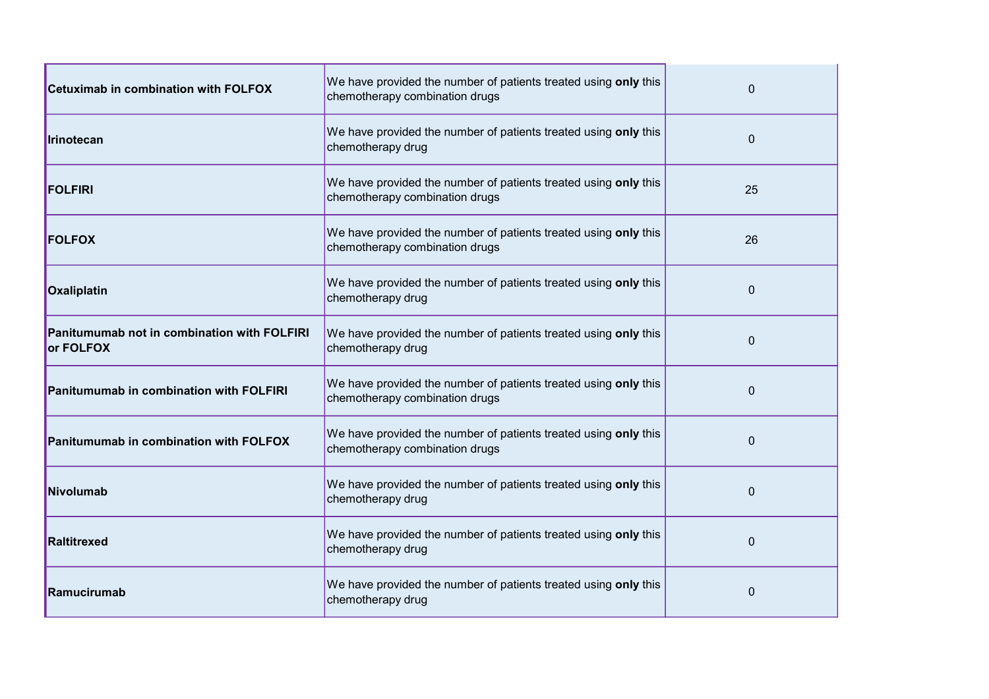| <b>Cetuximab in combination with FOLFOX</b>              | We have provided the number of patients treated using only this<br>chemotherapy combination drugs | 0              |
|----------------------------------------------------------|---------------------------------------------------------------------------------------------------|----------------|
| Irinotecan                                               | We have provided the number of patients treated using only this<br>chemotherapy drug              | 0              |
| <b>FOLFIRI</b>                                           | We have provided the number of patients treated using only this<br>chemotherapy combination drugs | 25             |
| <b>FOLFOX</b>                                            | We have provided the number of patients treated using only this<br>chemotherapy combination drugs | 26             |
| Oxaliplatin                                              | We have provided the number of patients treated using only this<br>chemotherapy drug              | $\overline{0}$ |
| Panitumumab not in combination with FOLFIRI<br>or FOLFOX | We have provided the number of patients treated using only this<br>chemotherapy drug              | $\Omega$       |
| Panitumumab in combination with FOLFIRI                  | We have provided the number of patients treated using only this<br>chemotherapy combination drugs | $\Omega$       |
| Panitumumab in combination with FOLFOX                   | We have provided the number of patients treated using only this<br>chemotherapy combination drugs | $\Omega$       |
| Nivolumab                                                | We have provided the number of patients treated using only this<br>chemotherapy drug              | 0              |
| Raltitrexed                                              | We have provided the number of patients treated using only this<br>chemotherapy drug              | $\Omega$       |
| Ramucirumab                                              | We have provided the number of patients treated using only this<br>chemotherapy drug              | $\Omega$       |